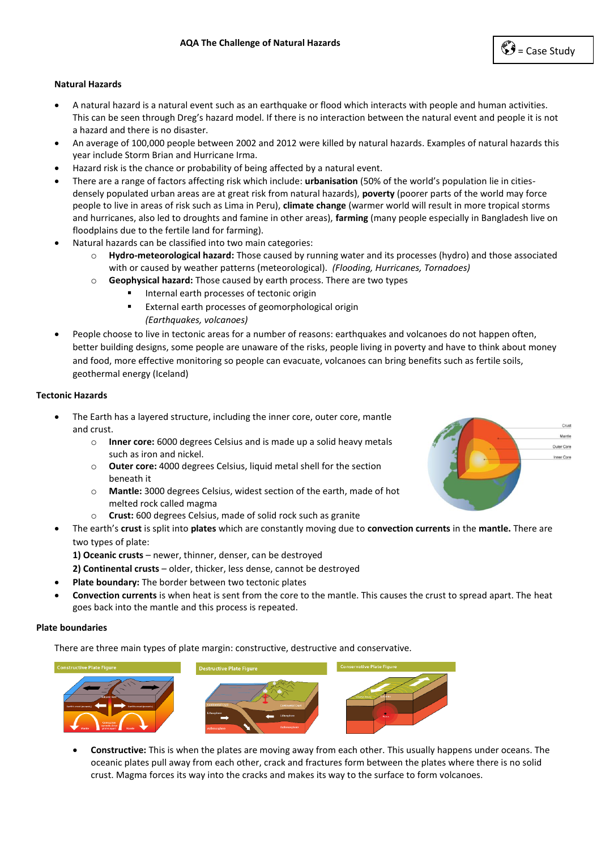## **Natural Hazards**

- A natural hazard is a natural event such as an earthquake or flood which interacts with people and human activities. This can be seen through Dreg's hazard model. If there is no interaction between the natural event and people it is not a hazard and there is no disaster.
- An average of 100,000 people between 2002 and 2012 were killed by natural hazards. Examples of natural hazards this year include Storm Brian and Hurricane Irma.
- Hazard risk is the chance or probability of being affected by a natural event.
- There are a range of factors affecting risk which include: **urbanisation** (50% of the world's population lie in citiesdensely populated urban areas are at great risk from natural hazards), **poverty** (poorer parts of the world may force people to live in areas of risk such as Lima in Peru), **climate change** (warmer world will result in more tropical storms and hurricanes, also led to droughts and famine in other areas), **farming** (many people especially in Bangladesh live on floodplains due to the fertile land for farming).
- Natural hazards can be classified into two main categories:
	- o **Hydro-meteorological hazard:** Those caused by running water and its processes (hydro) and those associated with or caused by weather patterns (meteorological). *(Flooding, Hurricanes, Tornadoes)*
	- o **Geophysical hazard:** Those caused by earth process. There are two types
		- Internal earth processes of tectonic origin
		- External earth processes of geomorphological origin *(Earthquakes, volcanoes)*
- People choose to live in tectonic areas for a number of reasons: earthquakes and volcanoes do not happen often, better building designs, some people are unaware of the risks, people living in poverty and have to think about money and food, more effective monitoring so people can evacuate, volcanoes can bring benefits such as fertile soils, geothermal energy (Iceland)

# **Tectonic Hazards**

- The Earth has a layered structure, including the inner core, outer core, mantle and crust.
	- o **Inner core:** 6000 degrees Celsius and is made up a solid heavy metals such as iron and nickel.
	- o **Outer core:** 4000 degrees Celsius, liquid metal shell for the section beneath it
	- o **Mantle:** 3000 degrees Celsius, widest section of the earth, made of hot melted rock called magma
	- o **Crust:** 600 degrees Celsius, made of solid rock such as granite
- The earth's **crust** is split into **plates** which are constantly moving due to **convection currents** in the **mantle.** There are two types of plate:
	- **1) Oceanic crusts** newer, thinner, denser, can be destroyed
	- **2) Continental crusts**  older, thicker, less dense, cannot be destroyed
- **Plate boundary:** The border between two tectonic plates
- **Convection currents** is when heat is sent from the core to the mantle. This causes the crust to spread apart. The heat goes back into the mantle and this process is repeated.

### **Plate boundaries**

There are three main types of plate margin: constructive, destructive and conservative.



• **Constructive:** This is when the plates are moving away from each other. This usually happens under oceans. The oceanic plates pull away from each other, crack and fractures form between the plates where there is no solid crust. Magma forces its way into the cracks and makes its way to the surface to form volcanoes.

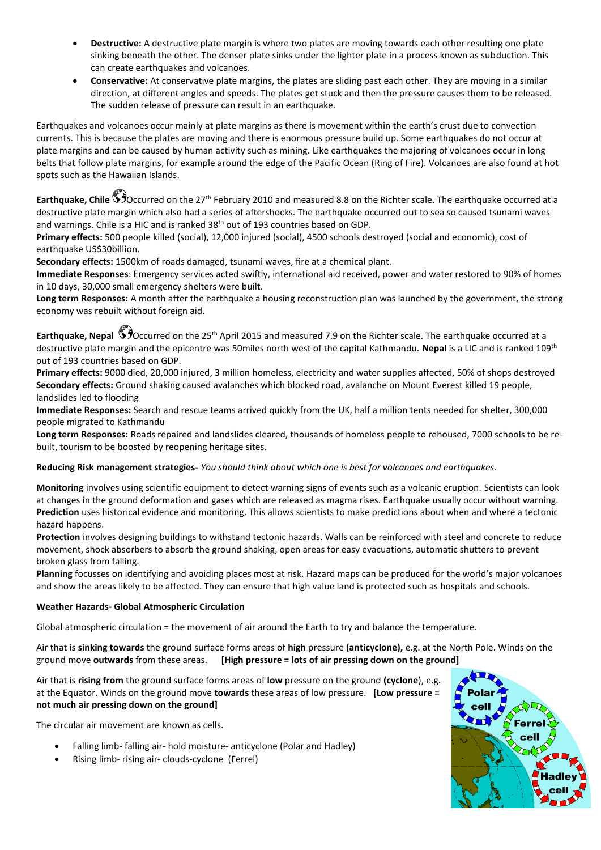- **Destructive:** A destructive plate margin is where two plates are moving towards each other resulting one plate sinking beneath the other. The denser plate sinks under the lighter plate in a process known as subduction. This can create earthquakes and volcanoes.
- **Conservative:** At conservative plate margins, the plates are sliding past each other. They are moving in a similar direction, at different angles and speeds. The plates get stuck and then the pressure causes them to be released. The sudden release of pressure can result in an earthquake.

Earthquakes and volcanoes occur mainly at plate margins as there is movement within the earth's crust due to convection currents. This is because the plates are moving and there is enormous pressure build up. Some earthquakes do not occur at plate margins and can be caused by human activity such as mining. Like earthquakes the majoring of volcanoes occur in long belts that follow plate margins, for example around the edge of the Pacific Ocean (Ring of Fire). Volcanoes are also found at hot spots such as the Hawaiian Islands.

**Earthquake, Chile <sup>6</sup>O**ccurred on the 27<sup>th</sup> February 2010 and measured 8.8 on the Richter scale. The earthquake occurred at a destructive plate margin which also had a series of aftershocks. The earthquake occurred out to sea so caused tsunami waves and warnings. Chile is a HIC and is ranked 38th out of 193 countries based on GDP.

**Primary effects:** 500 people killed (social), 12,000 injured (social), 4500 schools destroyed (social and economic), cost of earthquake US\$30billion.

**Secondary effects:** 1500km of roads damaged, tsunami waves, fire at a chemical plant.

**Immediate Responses**: Emergency services acted swiftly, international aid received, power and water restored to 90% of homes in 10 days, 30,000 small emergency shelters were built.

**Long term Responses:** A month after the earthquake a housing reconstruction plan was launched by the government, the strong economy was rebuilt without foreign aid.

**Earthquake, Nepal <sup>8</sup>O**ccurred on the 25<sup>th</sup> April 2015 and measured 7.9 on the Richter scale. The earthquake occurred at a destructive plate margin and the epicentre was 50miles north west of the capital Kathmandu. **Nepal** is a LIC and is ranked 109th out of 193 countries based on GDP.

**Primary effects:** 9000 died, 20,000 injured, 3 million homeless, electricity and water supplies affected, 50% of shops destroyed **Secondary effects:** Ground shaking caused avalanches which blocked road, avalanche on Mount Everest killed 19 people, landslides led to flooding

**Immediate Responses:** Search and rescue teams arrived quickly from the UK, half a million tents needed for shelter, 300,000 people migrated to Kathmandu

**Long term Responses:** Roads repaired and landslides cleared, thousands of homeless people to rehoused, 7000 schools to be rebuilt, tourism to be boosted by reopening heritage sites.

# **Reducing Risk management strategies-** *You should think about which one is best for volcanoes and earthquakes.*

**Monitoring** involves using scientific equipment to detect warning signs of events such as a volcanic eruption. Scientists can look at changes in the ground deformation and gases which are released as magma rises. Earthquake usually occur without warning. **Prediction** uses historical evidence and monitoring. This allows scientists to make predictions about when and where a tectonic hazard happens.

**Protection** involves designing buildings to withstand tectonic hazards. Walls can be reinforced with steel and concrete to reduce movement, shock absorbers to absorb the ground shaking, open areas for easy evacuations, automatic shutters to prevent broken glass from falling.

**Planning** focusses on identifying and avoiding places most at risk. Hazard maps can be produced for the world's major volcanoes and show the areas likely to be affected. They can ensure that high value land is protected such as hospitals and schools.

# **Weather Hazards- Global Atmospheric Circulation**

Global atmospheric circulation = the movement of air around the Earth to try and balance the temperature.

Air that is **sinking towards** the ground surface forms areas of **high** pressure **(anticyclone),** e.g. at the North Pole. Winds on the ground move **outwards** from these areas. **[High pressure = lots of air pressing down on the ground]**

Air that is **rising from** the ground surface forms areas of **low** pressure on the ground **(cyclone**), e.g. at the Equator. Winds on the ground move **towards** these areas of low pressure. **[Low pressure = not much air pressing down on the ground]**

The circular air movement are known as cells.

- Falling limb- falling air- hold moisture- anticyclone (Polar and Hadley)
- Rising limb- rising air- clouds-cyclone (Ferrel)

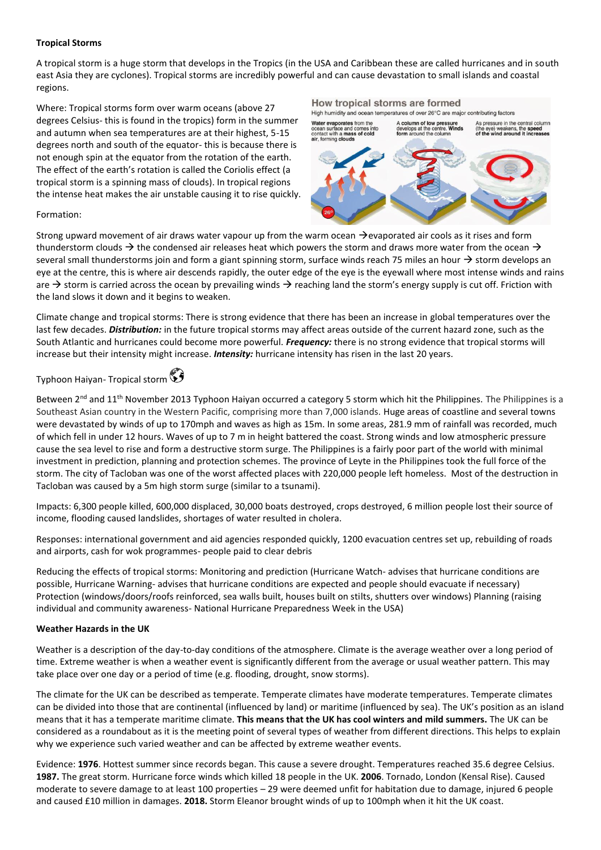# **Tropical Storms**

A tropical storm is a huge storm that develops in the Tropics (in the USA and Caribbean these are called hurricanes and in south east Asia they are cyclones). Tropical storms are incredibly powerful and can cause devastation to small islands and coastal regions.

Where: Tropical storms form over warm oceans (above 27 degrees Celsius- this is found in the tropics) form in the summer and autumn when sea temperatures are at their highest, 5-15 degrees north and south of the equator- this is because there is not enough spin at the equator from the rotation of the earth. The effect of the earth's rotation is called the Coriolis effect (a tropical storm is a spinning mass of clouds). In tropical regions the intense heat makes the air unstable causing it to rise quickly. How tropical storms are formed

High humidity and ocean temperatures of over 26°C are major contributing factors Water evaporates from the<br>ocean surface and comes into<br>contact with a mass of cold<br>air, forming clouds A column of low pressure<br>develops at the centre. Winds<br>form around the column

As pressure in the central column ressure in the central c<br>eye) weakens, the spee<br>the wind around it incre



#### Formation:

Strong upward movement of air draws water vapour up from the warm ocean →evaporated air cools as it rises and form thunderstorm clouds  $\rightarrow$  the condensed air releases heat which powers the storm and draws more water from the ocean  $\rightarrow$ several small thunderstorms join and form a giant spinning storm, surface winds reach 75 miles an hour  $\rightarrow$  storm develops an eye at the centre, this is where air descends rapidly, the outer edge of the eye is the eyewall where most intense winds and rains are  $\rightarrow$  storm is carried across the ocean by prevailing winds  $\rightarrow$  reaching land the storm's energy supply is cut off. Friction with the land slows it down and it begins to weaken.

Climate change and tropical storms: There is strong evidence that there has been an increase in global temperatures over the last few decades. *Distribution:* in the future tropical storms may affect areas outside of the current hazard zone, such as the South Atlantic and hurricanes could become more powerful. *Frequency:* there is no strong evidence that tropical storms will increase but their intensity might increase. *Intensity:* hurricane intensity has risen in the last 20 years.

# Typhoon Haiyan- Tropical storm

Between  $2^{nd}$  and  $11^{th}$  November 2013 Typhoon Haiyan occurred a category 5 storm which hit the Philippines. The Philippines is a Southeast Asian country in the Western Pacific, comprising more than 7,000 islands. Huge areas of coastline and several towns were devastated by winds of up to 170mph and waves as high as 15m. In some areas, 281.9 mm of rainfall was recorded, much of which fell in under 12 hours. Waves of up to 7 m in height battered the coast. Strong winds and low atmospheric pressure cause the sea level to rise and form a destructive storm surge. The Philippines is a fairly poor part of the world with minimal investment in prediction, planning and protection schemes. The province of Leyte in the Philippines took the full force of the storm. The city of Tacloban was one of the worst affected places with 220,000 people left homeless. Most of the destruction in Tacloban was caused by a 5m high storm surge (similar to a tsunami).

Impacts: 6,300 people killed, 600,000 displaced, 30,000 boats destroyed, crops destroyed, 6 million people lost their source of income, flooding caused landslides, shortages of water resulted in cholera.

Responses: international government and aid agencies responded quickly, 1200 evacuation centres set up, rebuilding of roads and airports, cash for wok programmes- people paid to clear debris

Reducing the effects of tropical storms: Monitoring and prediction (Hurricane Watch- advises that hurricane conditions are possible, Hurricane Warning- advises that hurricane conditions are expected and people should evacuate if necessary) Protection (windows/doors/roofs reinforced, sea walls built, houses built on stilts, shutters over windows) Planning (raising individual and community awareness- National Hurricane Preparedness Week in the USA)

### **Weather Hazards in the UK**

Weather is a description of the day-to-day conditions of the atmosphere. Climate is the average weather over a long period of time. Extreme weather is when a weather event is significantly different from the average or usual weather pattern. This may take place over one day or a period of time (e.g. flooding, drought, snow storms).

The climate for the UK can be described as temperate. Temperate climates have moderate temperatures. Temperate climates can be divided into those that are continental (influenced by land) or maritime (influenced by sea). The UK's position as an island means that it has a temperate maritime climate. **This means that the UK has cool winters and mild summers.** The UK can be considered as a roundabout as it is the meeting point of several types of weather from different directions. This helps to explain why we experience such varied weather and can be affected by extreme weather events.

Evidence: **1976**. Hottest summer since records began. This cause a severe drought. Temperatures reached 35.6 degree Celsius. **1987.** The great storm. Hurricane force winds which killed 18 people in the UK. **2006**. Tornado, London (Kensal Rise). Caused moderate to severe damage to at least 100 properties – 29 were deemed unfit for habitation due to damage, injured 6 people and caused £10 million in damages. **2018.** Storm Eleanor brought winds of up to 100mph when it hit the UK coast.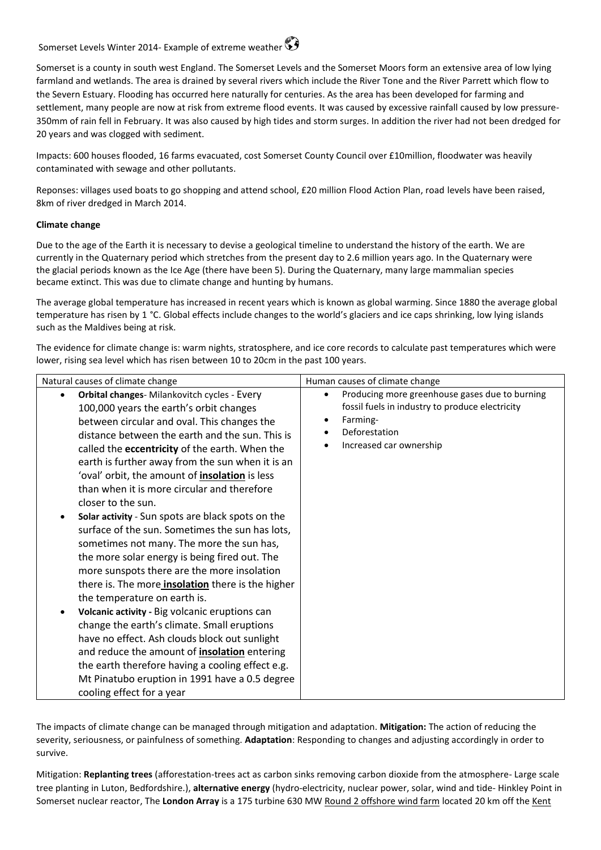# Somerset Levels Winter 2014- Example of extreme weather

Somerset is a county in south west England. The Somerset Levels and the Somerset Moors form an extensive area of low lying farmland and wetlands. The area is drained by several rivers which include the River Tone and the River Parrett which flow to the Severn Estuary. Flooding has occurred here naturally for centuries. As the area has been developed for farming and settlement, many people are now at risk from extreme flood events. It was caused by excessive rainfall caused by low pressure-350mm of rain fell in February. It was also caused by high tides and storm surges. In addition the river had not been dredged for 20 years and was clogged with sediment.

Impacts: 600 houses flooded, 16 farms evacuated, cost Somerset County Council over £10million, floodwater was heavily contaminated with sewage and other pollutants.

Reponses: villages used boats to go shopping and attend school, £20 million Flood Action Plan, road levels have been raised, 8km of river dredged in March 2014.

#### **Climate change**

Due to the age of the Earth it is necessary to devise a geological timeline to understand the history of the earth. We are currently in the Quaternary period which stretches from the present day to 2.6 million years ago. In the Quaternary were the glacial periods known as the Ice Age (there have been 5). During the Quaternary, many large mammalian species became extinct. This was due to climate change and hunting by humans.

The average global temperature has increased in recent years which is known as global warming. Since 1880 the average global temperature has risen by 1 °C. Global effects include changes to the world's glaciers and ice caps shrinking, low lying islands such as the Maldives being at risk.

The evidence for climate change is: warm nights, stratosphere, and ice core records to calculate past temperatures which were lower, rising sea level which has risen between 10 to 20cm in the past 100 years.

| Natural causes of climate change                                                                                                                                                                                                                                                                                                                                                                                                                                                                                                                                                                                                                                                                                                                                                                                                                                                                                                                                                                                                                                                                                                                           | Human causes of climate change                                                                                                                                         |
|------------------------------------------------------------------------------------------------------------------------------------------------------------------------------------------------------------------------------------------------------------------------------------------------------------------------------------------------------------------------------------------------------------------------------------------------------------------------------------------------------------------------------------------------------------------------------------------------------------------------------------------------------------------------------------------------------------------------------------------------------------------------------------------------------------------------------------------------------------------------------------------------------------------------------------------------------------------------------------------------------------------------------------------------------------------------------------------------------------------------------------------------------------|------------------------------------------------------------------------------------------------------------------------------------------------------------------------|
| Orbital changes- Milankovitch cycles - Every<br>$\bullet$<br>100,000 years the earth's orbit changes<br>between circular and oval. This changes the<br>distance between the earth and the sun. This is<br>called the eccentricity of the earth. When the<br>earth is further away from the sun when it is an<br>'oval' orbit, the amount of insolation is less<br>than when it is more circular and therefore<br>closer to the sun.<br>Solar activity - Sun spots are black spots on the<br>$\bullet$<br>surface of the sun. Sometimes the sun has lots,<br>sometimes not many. The more the sun has,<br>the more solar energy is being fired out. The<br>more sunspots there are the more insolation<br>there is. The more <i>insolation</i> there is the higher<br>the temperature on earth is.<br>Volcanic activity - Big volcanic eruptions can<br>$\bullet$<br>change the earth's climate. Small eruptions<br>have no effect. Ash clouds block out sunlight<br>and reduce the amount of <i>insolation</i> entering<br>the earth therefore having a cooling effect e.g.<br>Mt Pinatubo eruption in 1991 have a 0.5 degree<br>cooling effect for a year | Producing more greenhouse gases due to burning<br>$\bullet$<br>fossil fuels in industry to produce electricity<br>Farming-<br>Deforestation<br>Increased car ownership |

The impacts of climate change can be managed through mitigation and adaptation. **Mitigation:** The action of reducing the severity, seriousness, or painfulness of something. **Adaptation**: Responding to changes and adjusting accordingly in order to survive.

Mitigation: **Replanting trees** (afforestation-trees act as carbon sinks removing carbon dioxide from the atmosphere- Large scale tree planting in Luton, Bedfordshire.), **alternative energy** (hydro-electricity, nuclear power, solar, wind and tide- Hinkley Point in Somerset nuclear reactor, The **London Array** is a 175 turbine 630 MW [Round 2 offshore wind farm](https://en.wikipedia.org/wiki/Round_2_wind_farm) located 20 km off the [Kent](https://en.wikipedia.org/wiki/Kent)